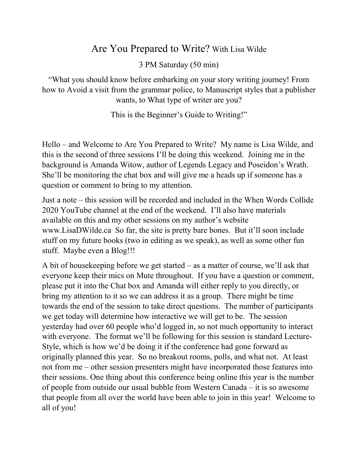# Are You Prepared to Write? With Lisa Wilde

3 PM Saturday (50 min)

"What you should know before embarking on your story writing journey! From how to Avoid a visit from the grammar police, to Manuscript styles that a publisher wants, to What type of writer are you?

This is the Beginner's Guide to Writing!"

Hello – and Welcome to Are You Prepared to Write? My name is Lisa Wilde, and this is the second of three sessions I'll be doing this weekend. Joining me in the background is Amanda Witow, author of Legends Legacy and Poseidon's Wrath. She'll be monitoring the chat box and will give me a heads up if someone has a question or comment to bring to my attention.

Just a note – this session will be recorded and included in the When Words Collide 2020 YouTube channel at the end of the weekend. I'll also have materials available on this and my other sessions on my author's website [www.LisaDWilde.ca](http://www.lisadwilde.ca/) So far, the site is pretty bare bones. But it'll soon include stuff on my future books (two in editing as we speak), as well as some other fun stuff. Maybe even a Blog!!!

A bit of housekeeping before we get started – as a matter of course, we'll ask that everyone keep their mics on Mute throughout. If you have a question or comment, please put it into the Chat box and Amanda will either reply to you directly, or bring my attention to it so we can address it as a group. There might be time towards the end of the session to take direct questions. The number of participants we get today will determine how interactive we will get to be. The session yesterday had over 60 people who'd logged in, so not much opportunity to interact with everyone. The format we'll be following for this session is standard Lecture-Style, which is how we'd be doing it if the conference had gone forward as originally planned this year. So no breakout rooms, polls, and what not. At least not from me – other session presenters might have incorporated those features into their sessions. One thing about this conference being online this year is the number of people from outside our usual bubble from Western Canada – it is so awesome that people from all over the world have been able to join in this year! Welcome to all of you!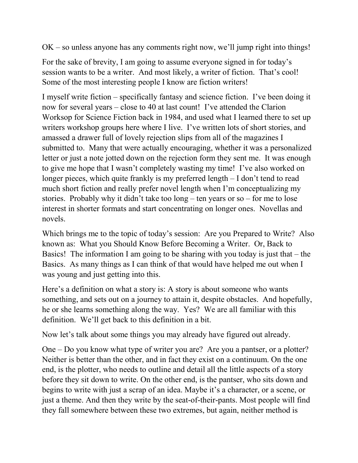OK – so unless anyone has any comments right now, we'll jump right into things!

For the sake of brevity, I am going to assume everyone signed in for today's session wants to be a writer. And most likely, a writer of fiction. That's cool! Some of the most interesting people I know are fiction writers!

I myself write fiction – specifically fantasy and science fiction. I've been doing it now for several years – close to 40 at last count! I've attended the Clarion Worksop for Science Fiction back in 1984, and used what I learned there to set up writers workshop groups here where I live. I've written lots of short stories, and amassed a drawer full of lovely rejection slips from all of the magazines I submitted to. Many that were actually encouraging, whether it was a personalized letter or just a note jotted down on the rejection form they sent me. It was enough to give me hope that I wasn't completely wasting my time! I've also worked on longer pieces, which quite frankly is my preferred length – I don't tend to read much short fiction and really prefer novel length when I'm conceptualizing my stories. Probably why it didn't take too long – ten years or so – for me to lose interest in shorter formats and start concentrating on longer ones. Novellas and novels.

Which brings me to the topic of today's session: Are you Prepared to Write? Also known as: What you Should Know Before Becoming a Writer. Or, Back to Basics! The information I am going to be sharing with you today is just that – the Basics. As many things as I can think of that would have helped me out when I was young and just getting into this.

Here's a definition on what a story is: A story is about someone who wants something, and sets out on a journey to attain it, despite obstacles. And hopefully, he or she learns something along the way. Yes? We are all familiar with this definition. We'll get back to this definition in a bit.

Now let's talk about some things you may already have figured out already.

One – Do you know what type of writer you are? Are you a pantser, or a plotter? Neither is better than the other, and in fact they exist on a continuum. On the one end, is the plotter, who needs to outline and detail all the little aspects of a story before they sit down to write. On the other end, is the pantser, who sits down and begins to write with just a scrap of an idea. Maybe it's a character, or a scene, or just a theme. And then they write by the seat-of-their-pants. Most people will find they fall somewhere between these two extremes, but again, neither method is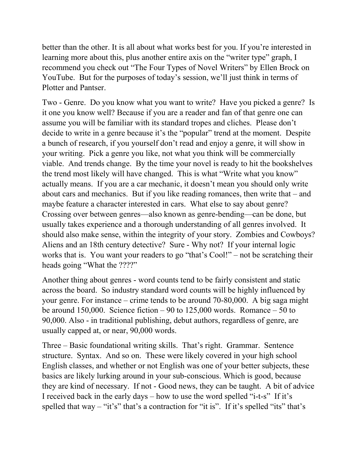better than the other. It is all about what works best for you. If you're interested in learning more about this, plus another entire axis on the "writer type" graph, I recommend you check out "The Four Types of Novel Writers" by Ellen Brock on YouTube. But for the purposes of today's session, we'll just think in terms of Plotter and Pantser.

Two - Genre. Do you know what you want to write? Have you picked a genre? Is it one you know well? Because if you are a reader and fan of that genre one can assume you will be familiar with its standard tropes and cliches. Please don't decide to write in a genre because it's the "popular" trend at the moment. Despite a bunch of research, if you yourself don't read and enjoy a genre, it will show in your writing. Pick a genre you like, not what you think will be commercially viable. And trends change. By the time your novel is ready to hit the bookshelves the trend most likely will have changed. This is what "Write what you know" actually means. If you are a car mechanic, it doesn't mean you should only write about cars and mechanics. But if you like reading romances, then write that – and maybe feature a character interested in cars. What else to say about genre? Crossing over between genres—also known as genre-bending—can be done, but usually takes experience and a thorough understanding of all genres involved. It should also make sense, within the integrity of your story. Zombies and Cowboys? Aliens and an 18th century detective? Sure - Why not? If your internal logic works that is. You want your readers to go "that's Cool!" – not be scratching their heads going "What the ????"

Another thing about genres - word counts tend to be fairly consistent and static across the board. So industry standard word counts will be highly influenced by your genre. For instance – crime tends to be around 70-80,000. A big saga might be around 150,000. Science fiction – 90 to 125,000 words. Romance – 50 to 90,000. Also - in traditional publishing, debut authors, regardless of genre, are usually capped at, or near, 90,000 words.

Three – Basic foundational writing skills. That's right. Grammar. Sentence structure. Syntax. And so on. These were likely covered in your high school English classes, and whether or not English was one of your better subjects, these basics are likely lurking around in your sub-conscious. Which is good, because they are kind of necessary. If not - Good news, they can be taught. A bit of advice I received back in the early days – how to use the word spelled "i-t-s" If it's spelled that way – "it's" that's a contraction for "it is". If it's spelled "its" that's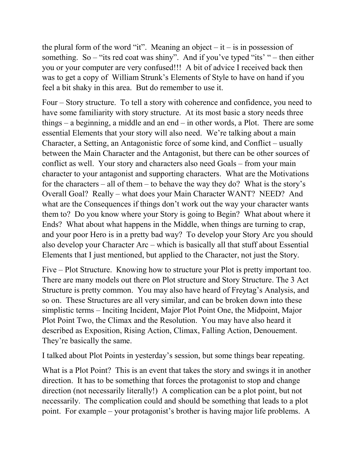the plural form of the word "it". Meaning an object  $-$  it  $-$  is in possession of something. So – "its red coat was shiny". And if you've typed "its' " – then either you or your computer are very confused!!! A bit of advice I received back then was to get a copy of William Strunk's Elements of Style to have on hand if you feel a bit shaky in this area. But do remember to use it.

Four – Story structure. To tell a story with coherence and confidence, you need to have some familiarity with story structure. At its most basic a story needs three things – a beginning, a middle and an end – in other words, a Plot. There are some essential Elements that your story will also need. We're talking about a main Character, a Setting, an Antagonistic force of some kind, and Conflict – usually between the Main Character and the Antagonist, but there can be other sources of conflict as well. Your story and characters also need Goals – from your main character to your antagonist and supporting characters. What are the Motivations for the characters – all of them – to behave the way they do? What is the story's Overall Goal? Really – what does your Main Character WANT? NEED? And what are the Consequences if things don't work out the way your character wants them to? Do you know where your Story is going to Begin? What about where it Ends? What about what happens in the Middle, when things are turning to crap, and your poor Hero is in a pretty bad way? To develop your Story Arc you should also develop your Character Arc – which is basically all that stuff about Essential Elements that I just mentioned, but applied to the Character, not just the Story.

Five – Plot Structure. Knowing how to structure your Plot is pretty important too. There are many models out there on Plot structure and Story Structure. The 3 Act Structure is pretty common. You may also have heard of Freytag's Analysis, and so on. These Structures are all very similar, and can be broken down into these simplistic terms – Inciting Incident, Major Plot Point One, the Midpoint, Major Plot Point Two, the Climax and the Resolution. You may have also heard it described as Exposition, Rising Action, Climax, Falling Action, Denouement. They're basically the same.

I talked about Plot Points in yesterday's session, but some things bear repeating.

What is a Plot Point? This is an event that takes the story and swings it in another direction. It has to be something that forces the protagonist to stop and change direction (not necessarily literally!) A complication can be a plot point, but not necessarily. The complication could and should be something that leads to a plot point. For example – your protagonist's brother is having major life problems. A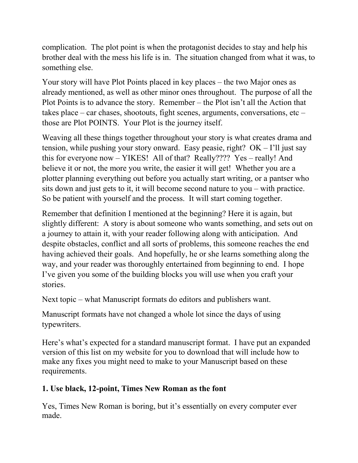complication. The plot point is when the protagonist decides to stay and help his brother deal with the mess his life is in. The situation changed from what it was, to something else.

Your story will have Plot Points placed in key places – the two Major ones as already mentioned, as well as other minor ones throughout. The purpose of all the Plot Points is to advance the story. Remember – the Plot isn't all the Action that takes place – car chases, shootouts, fight scenes, arguments, conversations, etc – those are Plot POINTS. Your Plot is the journey itself.

Weaving all these things together throughout your story is what creates drama and tension, while pushing your story onward. Easy peasie, right?  $OK - I'll$  just say this for everyone now – YIKES! All of that? Really???? Yes – really! And believe it or not, the more you write, the easier it will get! Whether you are a plotter planning everything out before you actually start writing, or a pantser who sits down and just gets to it, it will become second nature to you – with practice. So be patient with yourself and the process. It will start coming together.

Remember that definition I mentioned at the beginning? Here it is again, but slightly different: A story is about someone who wants something, and sets out on a journey to attain it, with your reader following along with anticipation. And despite obstacles, conflict and all sorts of problems, this someone reaches the end having achieved their goals. And hopefully, he or she learns something along the way, and your reader was thoroughly entertained from beginning to end. I hope I've given you some of the building blocks you will use when you craft your stories.

Next topic – what Manuscript formats do editors and publishers want.

Manuscript formats have not changed a whole lot since the days of using typewriters.

Here's what's expected for a standard manuscript format. I have put an expanded version of this list on my website for you to download that will include how to make any fixes you might need to make to your Manuscript based on these requirements.

## **1. Use black, 12-point, Times New Roman as the font**

Yes, Times New Roman is boring, but it's essentially on every computer ever made.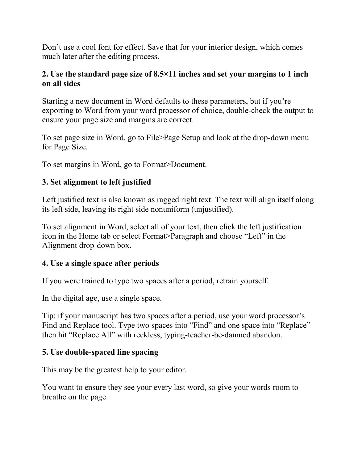Don't use a cool font for effect. Save that for your interior design, which comes much later after the editing process.

#### **2. Use the standard page size of 8.5×11 inches and set your margins to 1 inch on all sides**

Starting a new document in Word defaults to these parameters, but if you're exporting to Word from your word processor of choice, double-check the output to ensure your page size and margins are correct.

To set page size in Word, go to File>Page Setup and look at the drop-down menu for Page Size.

To set margins in Word, go to Format>Document.

#### **3. Set alignment to left justified**

Left justified text is also known as ragged right text. The text will align itself along its left side, leaving its right side nonuniform (unjustified).

To set alignment in Word, select all of your text, then click the left justification icon in the Home tab or select Format>Paragraph and choose "Left" in the Alignment drop-down box.

#### **4. Use a single space after periods**

If you were trained to type two spaces after a period, retrain yourself.

In the digital age, use a single space.

Tip: if your manuscript has two spaces after a period, use your word processor's Find and Replace tool. Type two spaces into "Find" and one space into "Replace" then hit "Replace All" with reckless, typing-teacher-be-damned abandon.

## **5. Use double-spaced line spacing**

This may be the greatest help to your editor.

You want to ensure they see your every last word, so give your words room to breathe on the page.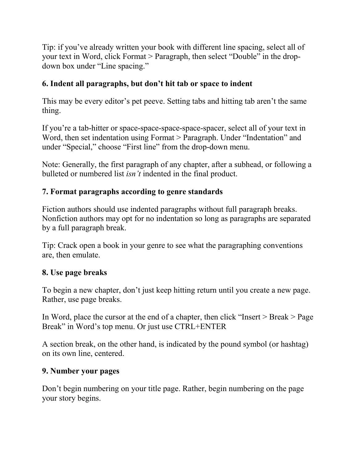Tip: if you've already written your book with different line spacing, select all of your text in Word, click Format > Paragraph, then select "Double" in the dropdown box under "Line spacing."

## **6. Indent all paragraphs, but don't hit tab or space to indent**

This may be every editor's pet peeve. Setting tabs and hitting tab aren't the same thing.

If you're a tab-hitter or space-space-space-space-spacer, select all of your text in Word, then set indentation using Format > Paragraph. Under "Indentation" and under "Special," choose "First line" from the drop-down menu.

Note: Generally, the first paragraph of any chapter, after a subhead, or following a bulleted or numbered list *isn't* indented in the final product.

#### **7. Format paragraphs according to genre standards**

Fiction authors should use indented paragraphs without full paragraph breaks. Nonfiction authors may opt for no indentation so long as paragraphs are separated by a full paragraph break.

Tip: Crack open a book in your genre to see what the paragraphing conventions are, then emulate.

#### **8. Use page breaks**

To begin a new chapter, don't just keep hitting return until you create a new page. Rather, use page breaks.

In Word, place the cursor at the end of a chapter, then click "Insert > Break > Page Break" in Word's top menu. Or just use CTRL+ENTER

A section break, on the other hand, is indicated by the pound symbol (or hashtag) on its own line, centered.

#### **9. Number your pages**

Don't begin numbering on your title page. Rather, begin numbering on the page your story begins.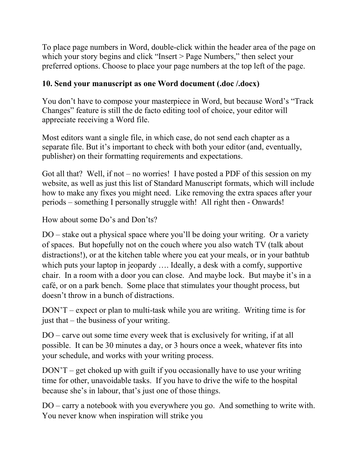To place page numbers in Word, double-click within the header area of the page on which your story begins and click "Insert > Page Numbers," then select your preferred options. Choose to place your page numbers at the top left of the page.

## **10. Send your manuscript as one Word document (.doc /.docx)**

You don't have to compose your masterpiece in Word, but because Word's "Track Changes" feature is still the de facto editing tool of choice, your editor will appreciate receiving a Word file.

Most editors want a single file, in which case, do not send each chapter as a separate file. But it's important to check with both your editor (and, eventually, publisher) on their formatting requirements and expectations.

Got all that? Well, if not – no worries! I have posted a PDF of this session on my website, as well as just this list of Standard Manuscript formats, which will include how to make any fixes you might need. Like removing the extra spaces after your periods – something I personally struggle with! All right then - Onwards!

How about some Do's and Don'ts?

DO – stake out a physical space where you'll be doing your writing. Or a variety of spaces. But hopefully not on the couch where you also watch TV (talk about distractions!), or at the kitchen table where you eat your meals, or in your bathtub which puts your laptop in jeopardy .... Ideally, a desk with a comfy, supportive chair. In a room with a door you can close. And maybe lock. But maybe it's in a café, or on a park bench. Some place that stimulates your thought process, but doesn't throw in a bunch of distractions.

DON'T – expect or plan to multi-task while you are writing. Writing time is for just that – the business of your writing.

DO – carve out some time every week that is exclusively for writing, if at all possible. It can be 30 minutes a day, or 3 hours once a week, whatever fits into your schedule, and works with your writing process.

DON'T – get choked up with guilt if you occasionally have to use your writing time for other, unavoidable tasks. If you have to drive the wife to the hospital because she's in labour, that's just one of those things.

DO – carry a notebook with you everywhere you go. And something to write with. You never know when inspiration will strike you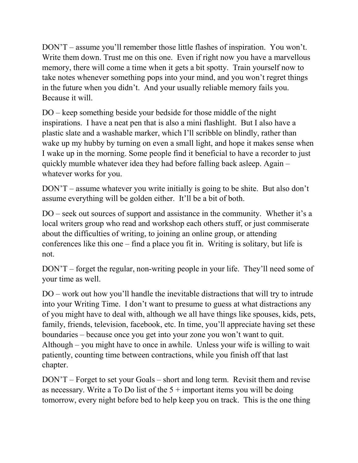DON'T – assume you'll remember those little flashes of inspiration. You won't. Write them down. Trust me on this one. Even if right now you have a marvellous memory, there will come a time when it gets a bit spotty. Train yourself now to take notes whenever something pops into your mind, and you won't regret things in the future when you didn't. And your usually reliable memory fails you. Because it will.

DO – keep something beside your bedside for those middle of the night inspirations. I have a neat pen that is also a mini flashlight. But I also have a plastic slate and a washable marker, which I'll scribble on blindly, rather than wake up my hubby by turning on even a small light, and hope it makes sense when I wake up in the morning. Some people find it beneficial to have a recorder to just quickly mumble whatever idea they had before falling back asleep. Again – whatever works for you.

DON'T – assume whatever you write initially is going to be shite. But also don't assume everything will be golden either. It'll be a bit of both.

DO – seek out sources of support and assistance in the community. Whether it's a local writers group who read and workshop each others stuff, or just commiserate about the difficulties of writing, to joining an online group, or attending conferences like this one – find a place you fit in. Writing is solitary, but life is not.

DON'T – forget the regular, non-writing people in your life. They'll need some of your time as well.

DO – work out how you'll handle the inevitable distractions that will try to intrude into your Writing Time. I don't want to presume to guess at what distractions any of you might have to deal with, although we all have things like spouses, kids, pets, family, friends, television, facebook, etc. In time, you'll appreciate having set these boundaries – because once you get into your zone you won't want to quit. Although – you might have to once in awhile. Unless your wife is willing to wait patiently, counting time between contractions, while you finish off that last chapter.

DON'T – Forget to set your Goals – short and long term. Revisit them and revise as necessary. Write a To Do list of the  $5 +$  important items you will be doing tomorrow, every night before bed to help keep you on track. This is the one thing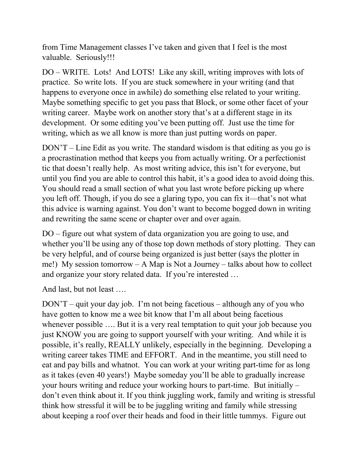from Time Management classes I've taken and given that I feel is the most valuable. Seriously!!!

DO – WRITE. Lots! And LOTS! Like any skill, writing improves with lots of practice. So write lots. If you are stuck somewhere in your writing (and that happens to everyone once in awhile) do something else related to your writing. Maybe something specific to get you pass that Block, or some other facet of your writing career. Maybe work on another story that's at a different stage in its development. Or some editing you've been putting off. Just use the time for writing, which as we all know is more than just putting words on paper.

DON'T – Line Edit as you write. The standard wisdom is that editing as you go is a procrastination method that keeps you from actually writing. Or a perfectionist tic that doesn't really help. As most writing advice, this isn't for everyone, but until you find you are able to control this habit, it's a good idea to avoid doing this. You should read a small section of what you last wrote before picking up where you left off. Though, if you do see a glaring typo, you can fix it—that's not what this advice is warning against. You don't want to become bogged down in writing and rewriting the same scene or chapter over and over again.

DO – figure out what system of data organization you are going to use, and whether you'll be using any of those top down methods of story plotting. They can be very helpful, and of course being organized is just better (says the plotter in me!) My session tomorrow – A Map is Not a Journey – talks about how to collect and organize your story related data. If you're interested …

And last, but not least ….

DON'T – quit your day job. I'm not being facetious – although any of you who have gotten to know me a wee bit know that I'm all about being facetious whenever possible .... But it is a very real temptation to quit your job because you just KNOW you are going to support yourself with your writing. And while it is possible, it's really, REALLY unlikely, especially in the beginning. Developing a writing career takes TIME and EFFORT. And in the meantime, you still need to eat and pay bills and whatnot. You can work at your writing part-time for as long as it takes (even 40 years!) Maybe someday you'll be able to gradually increase your hours writing and reduce your working hours to part-time. But initially – don't even think about it. If you think juggling work, family and writing is stressful think how stressful it will be to be juggling writing and family while stressing about keeping a roof over their heads and food in their little tummys. Figure out